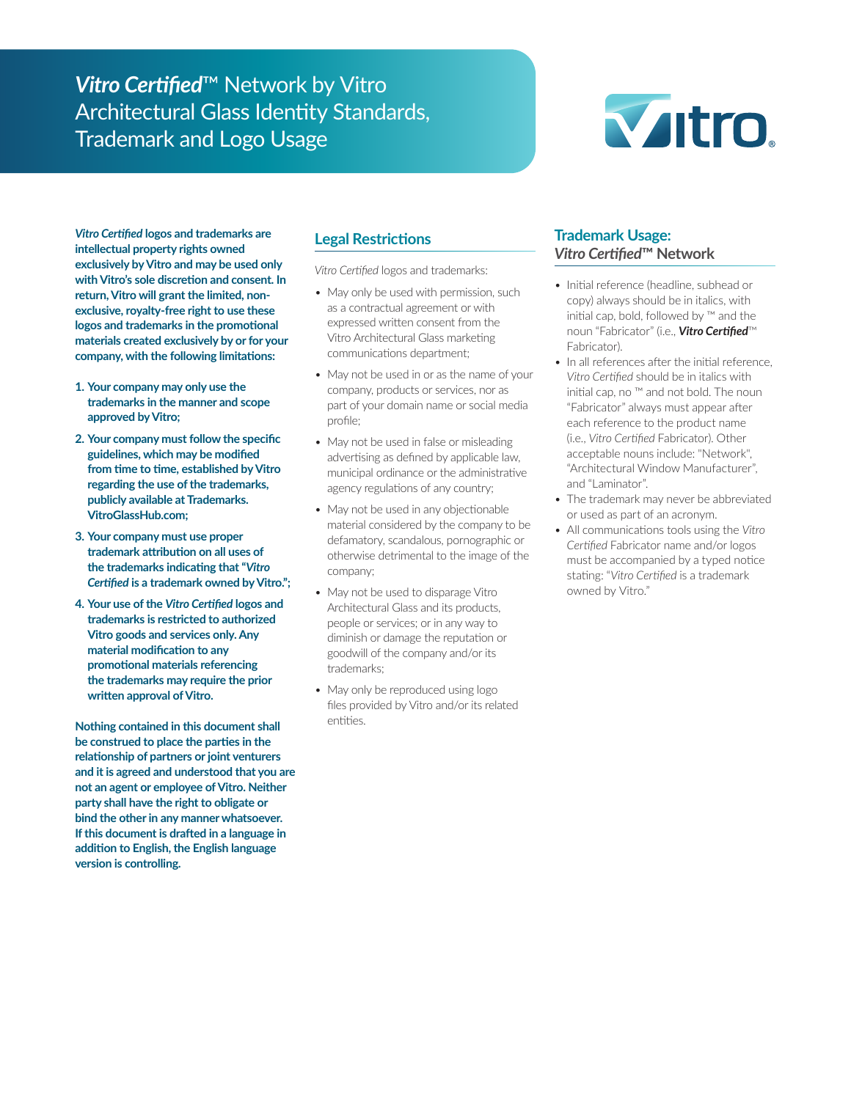## *Vitro Certified*™ Network by Vitro Architectural Glass Identity Standards, Trademark and Logo Usage



*Vitro Certified* **logos and trademarks are intellectual property rights owned exclusively by Vitro and may be used only with Vitro's sole discretion and consent. In return, Vitro will grant the limited, nonexclusive, royalty-free right to use these logos and trademarks in the promotional materials created exclusively by or for your company, with the following limitations:**

- **1. Your company may only use the trademarks in the manner and scope approved by Vitro;**
- **2. Your company must follow the specific guidelines, which may be modified from time to time, established by Vitro regarding the use of the trademarks, publicly available at Trademarks. VitroGlassHub.com;**
- **3. Your company must use proper trademark attribution on all uses of the trademarks indicating that "***Vitro Certified* **is a trademark owned by Vitro.";**
- **4. Your use of the** *Vitro Certified* **logos and trademarks is restricted to authorized Vitro goods and services only. Any material modification to any promotional materials referencing the trademarks may require the prior written approval of Vitro.**

**Nothing contained in this document shall be construed to place the parties in the relationship of partners or joint venturers and it is agreed and understood that you are not an agent or employee of Vitro. Neither party shall have the right to obligate or bind the other in any manner whatsoever. If this document is drafted in a language in addition to English, the English language version is controlling.**

#### **Legal Restrictions**

*Vitro Certified* logos and trademarks:

- May only be used with permission, such as a contractual agreement or with expressed written consent from the Vitro Architectural Glass marketing communications department;
- May not be used in or as the name of your company, products or services, nor as part of your domain name or social media profile;
- May not be used in false or misleading advertising as defined by applicable law, municipal ordinance or the administrative agency regulations of any country;
- May not be used in any objectionable material considered by the company to be defamatory, scandalous, pornographic or otherwise detrimental to the image of the company;
- May not be used to disparage Vitro Architectural Glass and its products, people or services; or in any way to diminish or damage the reputation or goodwill of the company and/or its trademarks;
- May only be reproduced using logo files provided by Vitro and/or its related entities.

## **Trademark Usage:** *Vitro Certified***™ Network**

- Initial reference (headline, subhead or copy) always should be in italics, with initial cap, bold, followed by ™ and the noun "Fabricator" (i.e., *Vitro Certified*™ Fabricator).
- In all references after the initial reference, *Vitro Certified* should be in italics with initial cap, no ™ and not bold. The noun "Fabricator" always must appear after each reference to the product name (i.e., *Vitro Certified* Fabricator). Other acceptable nouns include: "Network", "Architectural Window Manufacturer", and "Laminator".
- The trademark may never be abbreviated or used as part of an acronym.
- All communications tools using the *Vitro Certified* Fabricator name and/or logos must be accompanied by a typed notice stating: "*Vitro Certified* is a trademark owned by Vitro."